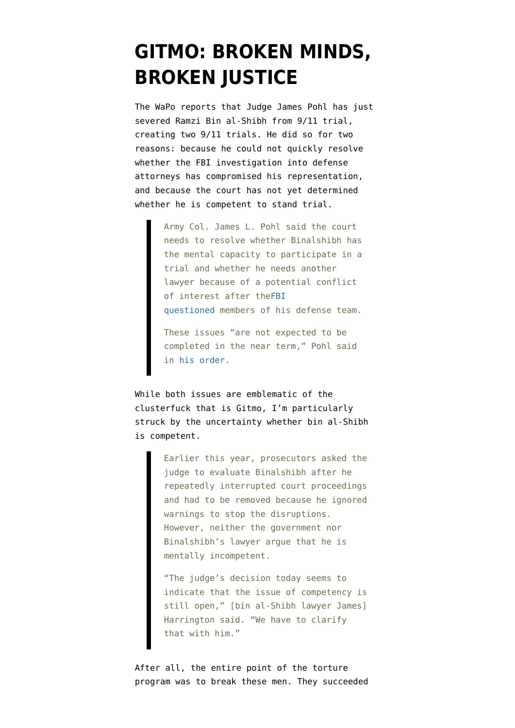## **[GITMO: BROKEN MINDS,](https://www.emptywheel.net/2014/07/25/gitmo-broken-minds-broken-justice/) [BROKEN JUSTICE](https://www.emptywheel.net/2014/07/25/gitmo-broken-minds-broken-justice/)**

The WaPo [reports](http://www.washingtonpost.com/world/national-security/military-judge-severs-accused-911-plotter-from-guantanamo-proceeding/2014/07/24/4dd3f4ae-1360-11e4-9285-4243a40ddc97_story.html) that Judge James Pohl has just severed Ramzi Bin al-Shibh from 9/11 trial, creating two 9/11 trials. He did so for two reasons: because he could not quickly resolve whether the FBI investigation into defense attorneys has compromised his representation, and because the court has not yet determined whether he is competent to stand trial.

> Army Col. James L. Pohl said the court needs to resolve whether Binalshibh has the mental capacity to participate in a trial and whether he needs another lawyer because of a potential conflict of interest after the[FBI](http://www.washingtonpost.com/world/national-security/fbi-probe-at-guantanamo-bay-winding-down-no-charges-expected/2014/05/12/d3969aa6-d9f9-11e3-bda1-9b46b2066796_story.html) [questioned](http://www.washingtonpost.com/world/national-security/fbi-probe-at-guantanamo-bay-winding-down-no-charges-expected/2014/05/12/d3969aa6-d9f9-11e3-bda1-9b46b2066796_story.html) members of his defense team.

These issues "are not expected to be completed in the near term," Pohl said in [his order](http://www.washingtonpost.com/r/2010-2019/WashingtonPost/2014/07/24/National-Security/Graphics/severance.pdf).

While both issues are emblematic of the clusterfuck that is Gitmo, I'm particularly struck by the uncertainty whether bin al-Shibh is competent.

> Earlier this year, prosecutors asked the judge to evaluate Binalshibh after he repeatedly interrupted court proceedings and had to be removed because he ignored warnings to stop the disruptions. However, neither the government nor Binalshibh's lawyer argue that he is mentally incompetent.

> "The judge's decision today seems to indicate that the issue of competency is still open," [bin al-Shibh lawyer James] Harrington said. "We have to clarify that with him."

After all, the entire point of the torture program was to break these men. They succeeded